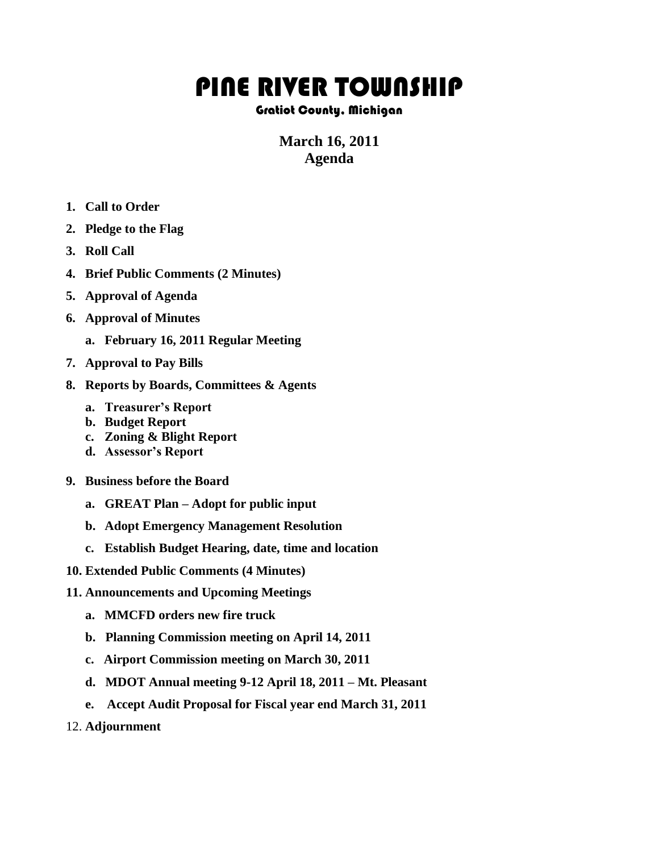## PINE RIVER TOWNSHIP

## Gratiot County, Michigan

## **March 16, 2011 Agenda**

- **1. Call to Order**
- **2. Pledge to the Flag**
- **3. Roll Call**
- **4. Brief Public Comments (2 Minutes)**
- **5. Approval of Agenda**
- **6. Approval of Minutes**
	- **a. February 16, 2011 Regular Meeting**
- **7. Approval to Pay Bills**
- **8. Reports by Boards, Committees & Agents**
	- **a. Treasurer's Report**
	- **b. Budget Report**
	- **c. Zoning & Blight Report**
	- **d. Assessor's Report**
- **9. Business before the Board**
	- **a. GREAT Plan – Adopt for public input**
	- **b. Adopt Emergency Management Resolution**
	- **c. Establish Budget Hearing, date, time and location**
- **10. Extended Public Comments (4 Minutes)**
- **11. Announcements and Upcoming Meetings**
	- **a. MMCFD orders new fire truck**
	- **b. Planning Commission meeting on April 14, 2011**
	- **c. Airport Commission meeting on March 30, 2011**
	- **d. MDOT Annual meeting 9-12 April 18, 2011 – Mt. Pleasant**
	- **e. Accept Audit Proposal for Fiscal year end March 31, 2011**
- 12. **Adjournment**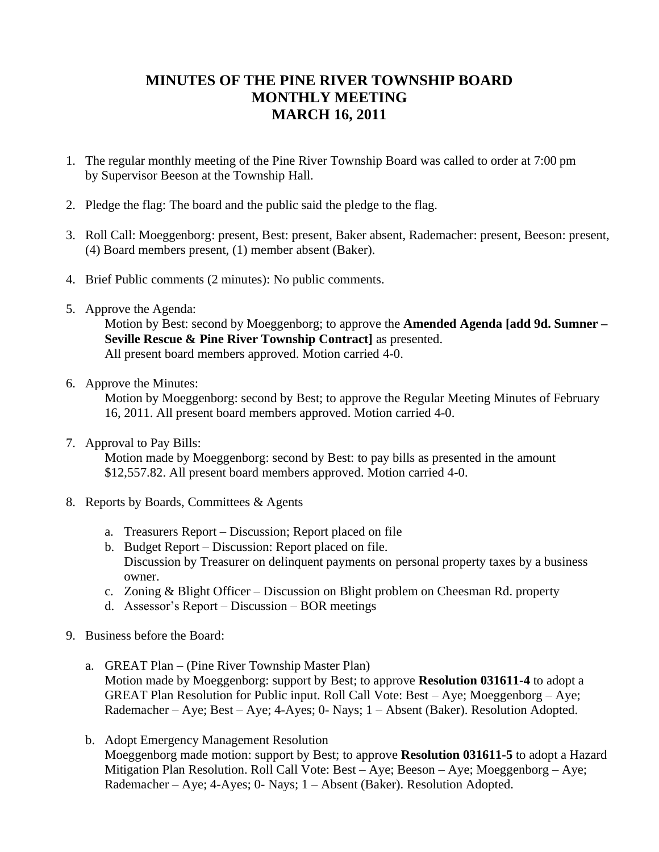## **MINUTES OF THE PINE RIVER TOWNSHIP BOARD MONTHLY MEETING MARCH 16, 2011**

- 1. The regular monthly meeting of the Pine River Township Board was called to order at 7:00 pm by Supervisor Beeson at the Township Hall.
- 2. Pledge the flag: The board and the public said the pledge to the flag.
- 3. Roll Call: Moeggenborg: present, Best: present, Baker absent, Rademacher: present, Beeson: present, (4) Board members present, (1) member absent (Baker).
- 4. Brief Public comments (2 minutes): No public comments.
- 5. Approve the Agenda:

Motion by Best: second by Moeggenborg; to approve the **Amended Agenda [add 9d. Sumner – Seville Rescue & Pine River Township Contract]** as presented. All present board members approved. Motion carried 4-0.

6. Approve the Minutes:

Motion by Moeggenborg: second by Best; to approve the Regular Meeting Minutes of February 16, 2011. All present board members approved. Motion carried 4-0.

7. Approval to Pay Bills:

 Motion made by Moeggenborg: second by Best: to pay bills as presented in the amount \$12,557.82. All present board members approved. Motion carried 4-0.

- 8. Reports by Boards, Committees & Agents
	- a. Treasurers Report Discussion; Report placed on file
	- b. Budget Report Discussion: Report placed on file. Discussion by Treasurer on delinquent payments on personal property taxes by a business owner.
	- c. Zoning & Blight Officer Discussion on Blight problem on Cheesman Rd. property
	- d. Assessor's Report Discussion BOR meetings
- 9. Business before the Board:
	- a. GREAT Plan (Pine River Township Master Plan) Motion made by Moeggenborg: support by Best; to approve **Resolution 031611-4** to adopt a GREAT Plan Resolution for Public input. Roll Call Vote: Best – Aye; Moeggenborg – Aye; Rademacher – Aye; Best – Aye; 4-Ayes; 0- Nays; 1 – Absent (Baker). Resolution Adopted.
	- b. Adopt Emergency Management Resolution Moeggenborg made motion: support by Best; to approve **Resolution 031611-5** to adopt a Hazard Mitigation Plan Resolution. Roll Call Vote: Best – Aye; Beeson – Aye; Moeggenborg – Aye; Rademacher – Aye; 4-Ayes; 0- Nays; 1 – Absent (Baker). Resolution Adopted.